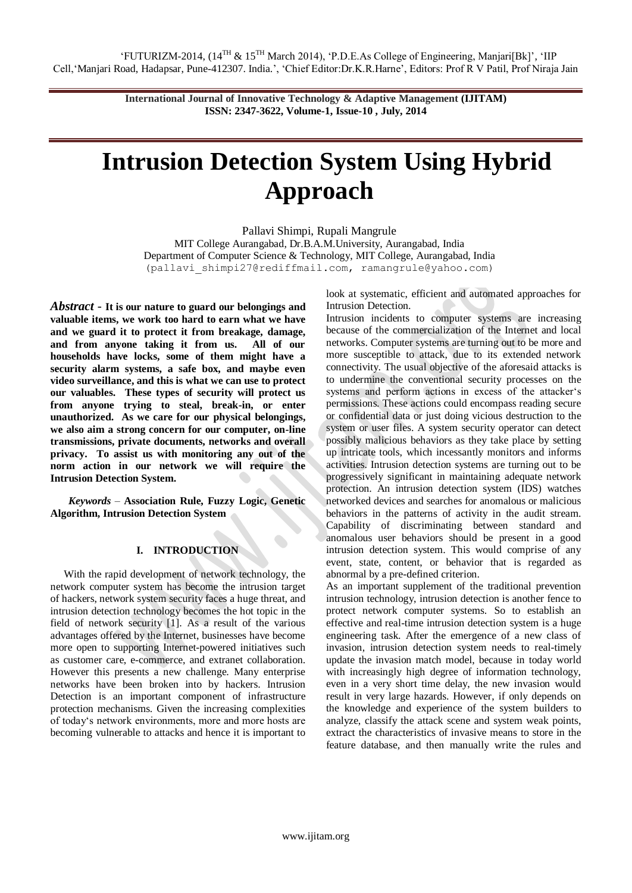# **Intrusion Detection System Using Hybrid Approach**

Pallavi Shimpi, Rupali Mangrule MIT College Aurangabad, Dr.B.A.M.University, Aurangabad, India Department of Computer Science & Technology, MIT College, Aurangabad, India (pallavi\_shimpi27@rediffmail.com, ramangrule@yahoo.com)

*Abstract* - **It is our nature to guard our belongings and valuable items, we work too hard to earn what we have and we guard it to protect it from breakage, damage, and from anyone taking it from us. All of our households have locks, some of them might have a security alarm systems, a safe box, and maybe even video surveillance, and this is what we can use to protect our valuables. These types of security will protect us from anyone trying to steal, break-in, or enter unauthorized. As we care for our physical belongings, we also aim a strong concern for our computer, on-line transmissions, private documents, networks and overall privacy. To assist us with monitoring any out of the norm action in our network we will require the Intrusion Detection System.** 

*Keywords* – **Association Rule, Fuzzy Logic, Genetic Algorithm, Intrusion Detection System**

# **I. INTRODUCTION**

 With the rapid development of network technology, the network computer system has become the intrusion target of hackers, network system security faces a huge threat, and intrusion detection technology becomes the hot topic in the field of network security [1]. As a result of the various advantages offered by the Internet, businesses have become more open to supporting Internet-powered initiatives such as customer care, e-commerce, and extranet collaboration. However this presents a new challenge. Many enterprise networks have been broken into by hackers. Intrusion Detection is an important component of infrastructure protection mechanisms. Given the increasing complexities of today's network environments, more and more hosts are becoming vulnerable to attacks and hence it is important to

look at systematic, efficient and automated approaches for Intrusion Detection.

Intrusion incidents to computer systems are increasing because of the commercialization of the Internet and local networks. Computer systems are turning out to be more and more susceptible to attack, due to its extended network connectivity. The usual objective of the aforesaid attacks is to undermine the conventional security processes on the systems and perform actions in excess of the attacker's permissions. These actions could encompass reading secure or confidential data or just doing vicious destruction to the system or user files. A system security operator can detect possibly malicious behaviors as they take place by setting up intricate tools, which incessantly monitors and informs activities. Intrusion detection systems are turning out to be progressively significant in maintaining adequate network protection. An intrusion detection system (IDS) watches networked devices and searches for anomalous or malicious behaviors in the patterns of activity in the audit stream. Capability of discriminating between standard and anomalous user behaviors should be present in a good intrusion detection system. This would comprise of any event, state, content, or behavior that is regarded as abnormal by a pre-defined criterion.

As an important supplement of the traditional prevention intrusion technology, intrusion detection is another fence to protect network computer systems. So to establish an effective and real-time intrusion detection system is a huge engineering task. After the emergence of a new class of invasion, intrusion detection system needs to real-timely update the invasion match model, because in today world with increasingly high degree of information technology, even in a very short time delay, the new invasion would result in very large hazards. However, if only depends on the knowledge and experience of the system builders to analyze, classify the attack scene and system weak points, extract the characteristics of invasive means to store in the feature database, and then manually write the rules and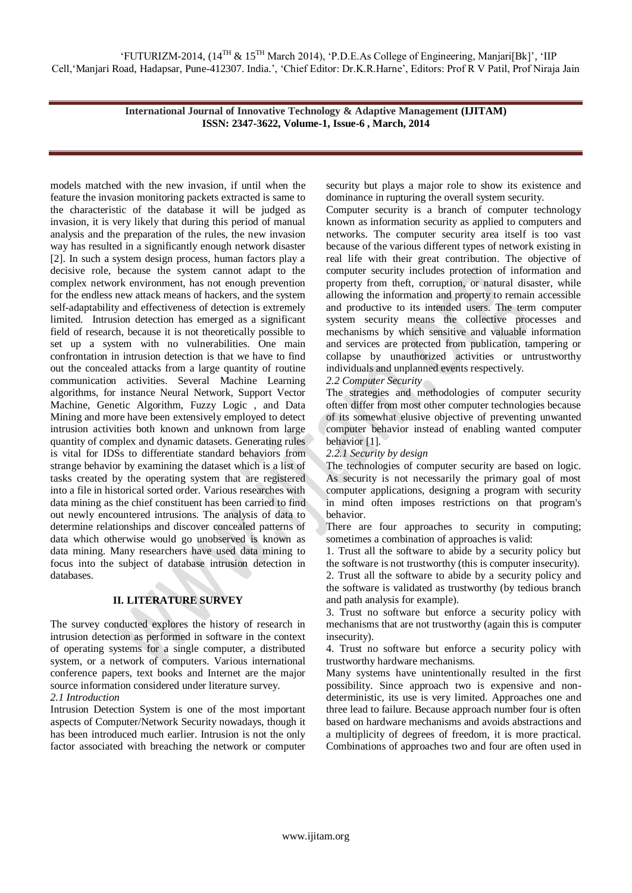models matched with the new invasion, if until when the feature the invasion monitoring packets extracted is same to the characteristic of the database it will be judged as invasion, it is very likely that during this period of manual analysis and the preparation of the rules, the new invasion way has resulted in a significantly enough network disaster [2]. In such a system design process, human factors play a decisive role, because the system cannot adapt to the complex network environment, has not enough prevention for the endless new attack means of hackers, and the system self-adaptability and effectiveness of detection is extremely limited. Intrusion detection has emerged as a significant field of research, because it is not theoretically possible to set up a system with no vulnerabilities. One main confrontation in intrusion detection is that we have to find out the concealed attacks from a large quantity of routine communication activities. Several Machine Learning algorithms, for instance Neural Network, Support Vector Machine, Genetic Algorithm, Fuzzy Logic , and Data Mining and more have been extensively employed to detect intrusion activities both known and unknown from large quantity of complex and dynamic datasets. Generating rules is vital for IDSs to differentiate standard behaviors from strange behavior by examining the dataset which is a list of tasks created by the operating system that are registered into a file in historical sorted order. Various researches with data mining as the chief constituent has been carried to find out newly encountered intrusions. The analysis of data to determine relationships and discover concealed patterns of data which otherwise would go unobserved is known as data mining. Many researchers have used data mining to focus into the subject of database intrusion detection in databases.

# **II. LITERATURE SURVEY**

The survey conducted explores the history of research in intrusion detection as performed in software in the context of operating systems for a single computer, a distributed system, or a network of computers. Various international conference papers, text books and Internet are the major source information considered under literature survey.

*2.1 Introduction* 

Intrusion Detection System is one of the most important aspects of Computer/Network Security nowadays, though it has been introduced much earlier. Intrusion is not the only factor associated with breaching the network or computer security but plays a major role to show its existence and dominance in rupturing the overall system security.

Computer security is a branch of computer technology known as information security as applied to computers and networks. The computer security area itself is too vast because of the various different types of network existing in real life with their great contribution. The objective of computer security includes protection of information and property from theft, corruption, or natural disaster, while allowing the information and property to remain accessible and productive to its intended users. The term computer system security means the collective processes and mechanisms by which sensitive and valuable information and services are protected from publication, tampering or collapse by unauthorized activities or untrustworthy individuals and unplanned events respectively.

# *2.2 Computer Security*

The strategies and methodologies of computer security often differ from most other computer technologies because of its somewhat elusive objective of preventing unwanted computer behavior instead of enabling wanted computer behavior [1].

# *2.2.1 Security by design*

The technologies of computer security are based on logic. As security is not necessarily the primary goal of most computer applications, designing a program with security in mind often imposes restrictions on that program's behavior.

There are four approaches to security in computing; sometimes a combination of approaches is valid:

1. Trust all the software to abide by a security policy but the software is not trustworthy (this is computer insecurity).

2. Trust all the software to abide by a security policy and the software is validated as trustworthy (by tedious branch and path analysis for example).

3. Trust no software but enforce a security policy with mechanisms that are not trustworthy (again this is computer insecurity).

4. Trust no software but enforce a security policy with trustworthy hardware mechanisms.

Many systems have unintentionally resulted in the first possibility. Since approach two is expensive and nondeterministic, its use is very limited. Approaches one and three lead to failure. Because approach number four is often based on hardware mechanisms and avoids abstractions and a multiplicity of degrees of freedom, it is more practical. Combinations of approaches two and four are often used in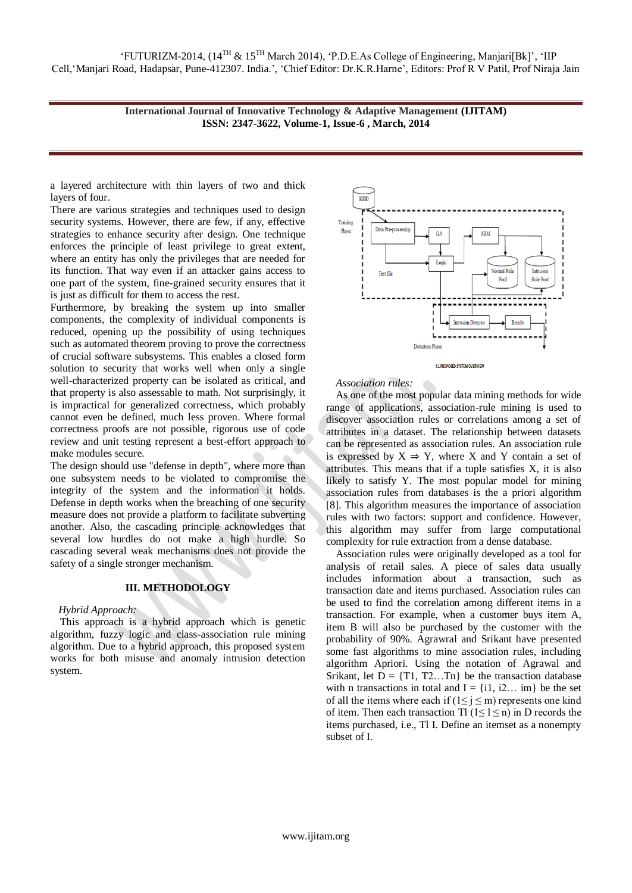a layered architecture with thin layers of two and thick layers of four.

There are various strategies and techniques used to design security systems. However, there are few, if any, effective strategies to enhance security after design. One technique enforces the principle of least privilege to great extent, where an entity has only the privileges that are needed for its function. That way even if an attacker gains access to one part of the system, fine-grained security ensures that it is just as difficult for them to access the rest.

Furthermore, by breaking the system up into smaller components, the complexity of individual components is reduced, opening up the possibility of using techniques such as automated theorem proving to prove the correctness of crucial software subsystems. This enables a closed form solution to security that works well when only a single well-characterized property can be isolated as critical, and that property is also assessable to math. Not surprisingly, it is impractical for generalized correctness, which probably cannot even be defined, much less proven. Where formal correctness proofs are not possible, rigorous use of code review and unit testing represent a best-effort approach to make modules secure.

The design should use "defense in depth", where more than one subsystem needs to be violated to compromise the integrity of the system and the information it holds. Defense in depth works when the breaching of one security measure does not provide a platform to facilitate subverting another. Also, the cascading principle acknowledges that several low hurdles do not make a high hurdle. So cascading several weak mechanisms does not provide the safety of a single stronger mechanism.

## **III. METHODOLOGY**

## *Hybrid Approach:*

This approach is a hybrid approach which is genetic algorithm, fuzzy logic and class-association rule mining algorithm. Due to a hybrid approach, this proposed system works for both misuse and anomaly intrusion detection system.





#### *Association rules:*

As one of the most popular data mining methods for wide range of applications, association-rule mining is used to discover association rules or correlations among a set of attributes in a dataset. The relationship between datasets can be represented as association rules. An association rule is expressed by  $X \Rightarrow Y$ , where X and Y contain a set of attributes. This means that if a tuple satisfies X, it is also likely to satisfy Y. The most popular model for mining association rules from databases is the a priori algorithm [8]. This algorithm measures the importance of association rules with two factors: support and confidence. However, this algorithm may suffer from large computational complexity for rule extraction from a dense database.

Association rules were originally developed as a tool for analysis of retail sales. A piece of sales data usually includes information about a transaction, such as transaction date and items purchased. Association rules can be used to find the correlation among different items in a transaction. For example, when a customer buys item A, item B will also be purchased by the customer with the probability of 90%. Agrawral and Srikant have presented some fast algorithms to mine association rules, including algorithm Apriori. Using the notation of Agrawal and Srikant, let  $D = \{T1, T2...Tn\}$  be the transaction database with n transactions in total and  $I = \{i1, i2... \text{ im}\}\)$  be the set of all the items where each if ( $1 \le j \le m$ ) represents one kind of item. Then each transaction Tl  $(1 \le l \le n)$  in D records the items purchased, i.e., Tl I. Define an itemset as a nonempty subset of I.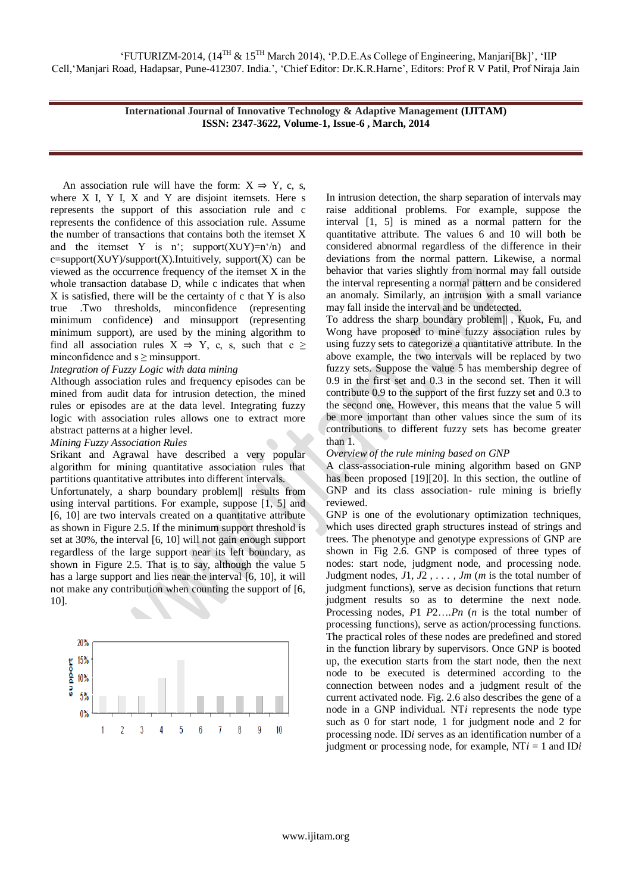An association rule will have the form:  $X \Rightarrow Y$ , c, s, where X I, Y I, X and Y are disjoint itemsets. Here s represents the support of this association rule and c represents the confidence of this association rule. Assume the number of transactions that contains both the itemset X and the itemset Y is n'; support(X∪Y)=n'/n) and c=support(X∪Y)/support(X).Intuitively, support(X) can be viewed as the occurrence frequency of the itemset X in the whole transaction database D, while c indicates that when X is satisfied, there will be the certainty of c that Y is also true .Two thresholds, minconfidence (representing minimum confidence) and minsupport (representing minimum support), are used by the mining algorithm to find all association rules  $X \Rightarrow Y$ , c, s, such that c ≥ minconfidence and s > minsupport.

*Integration of Fuzzy Logic with data mining*

Although association rules and frequency episodes can be mined from audit data for intrusion detection, the mined rules or episodes are at the data level. Integrating fuzzy logic with association rules allows one to extract more abstract patterns at a higher level.

## *Mining Fuzzy Association Rules*

Srikant and Agrawal have described a very popular algorithm for mining quantitative association rules that partitions quantitative attributes into different intervals.

Unfortunately, a sharp boundary problem‖ results from using interval partitions. For example, suppose [1, 5] and [6, 10] are two intervals created on a quantitative attribute as shown in Figure 2.5. If the minimum support threshold is set at 30%, the interval [6, 10] will not gain enough support regardless of the large support near its left boundary, as shown in Figure 2.5. That is to say, although the value 5 has a large support and lies near the interval [6, 10], it will not make any contribution when counting the support of [6, 10].



In intrusion detection, the sharp separation of intervals may raise additional problems. For example, suppose the interval [1, 5] is mined as a normal pattern for the quantitative attribute. The values 6 and 10 will both be considered abnormal regardless of the difference in their deviations from the normal pattern. Likewise, a normal behavior that varies slightly from normal may fall outside the interval representing a normal pattern and be considered an anomaly. Similarly, an intrusion with a small variance may fall inside the interval and be undetected.

To address the sharp boundary problem‖ , Kuok, Fu, and Wong have proposed to mine fuzzy association rules by using fuzzy sets to categorize a quantitative attribute. In the above example, the two intervals will be replaced by two fuzzy sets. Suppose the value 5 has membership degree of 0.9 in the first set and 0.3 in the second set. Then it will contribute 0.9 to the support of the first fuzzy set and 0.3 to the second one. However, this means that the value 5 will be more important than other values since the sum of its contributions to different fuzzy sets has become greater than 1.

## *Overview of the rule mining based on GNP*

A class-association-rule mining algorithm based on GNP has been proposed [19][20]. In this section, the outline of GNP and its class association- rule mining is briefly reviewed.

GNP is one of the evolutionary optimization techniques, which uses directed graph structures instead of strings and trees. The phenotype and genotype expressions of GNP are shown in Fig 2.6. GNP is composed of three types of nodes: start node, judgment node, and processing node. Judgment nodes, *J*1*, J*2 *, . . . , Jm* (*m* is the total number of judgment functions), serve as decision functions that return judgment results so as to determine the next node. Processing nodes, *P*1 *P*2…*.Pn* (*n* is the total number of processing functions), serve as action/processing functions. The practical roles of these nodes are predefined and stored in the function library by supervisors. Once GNP is booted up, the execution starts from the start node, then the next node to be executed is determined according to the connection between nodes and a judgment result of the current activated node. Fig. 2.6 also describes the gene of a node in a GNP individual. NT*i* represents the node type such as 0 for start node, 1 for judgment node and 2 for processing node. ID*i* serves as an identification number of a judgment or processing node, for example, NT*i* = 1 and ID*i*